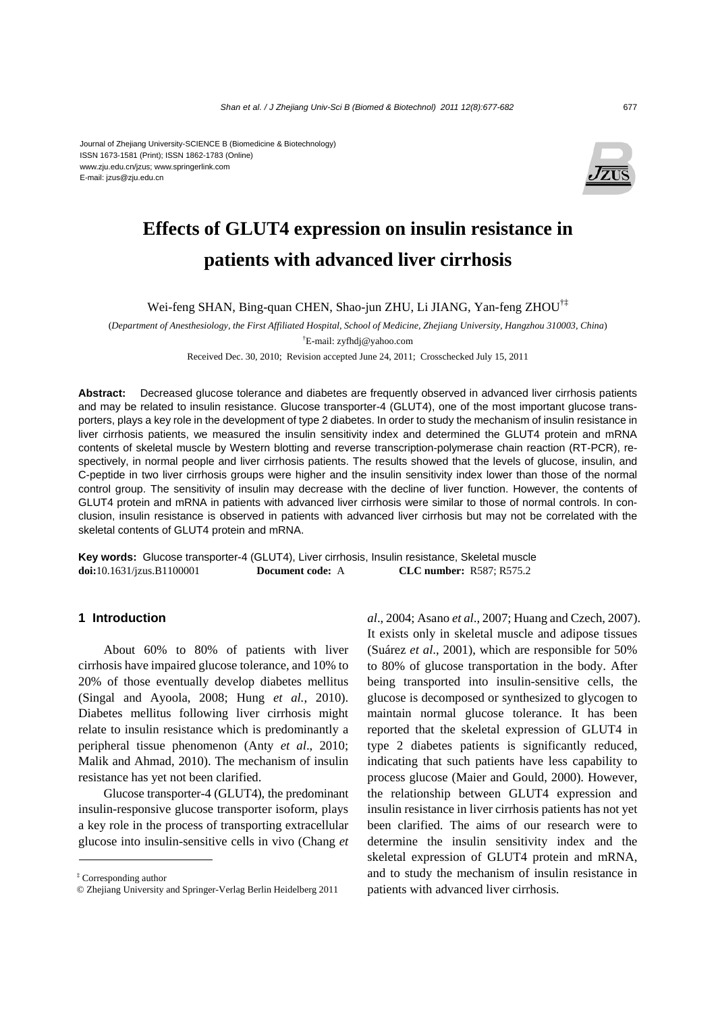#### Journal of Zhejiang University-SCIENCE B (Biomedicine & Biotechnology) ISSN 1673-1581 (Print); ISSN 1862-1783 (Online) www.zju.edu.cn/jzus; www.springerlink.com E-mail: jzus@zju.edu.cn



# **Effects of GLUT4 expression on insulin resistance in patients with advanced liver cirrhosis**

Wei-feng SHAN, Bing-quan CHEN, Shao-jun ZHU, Li JIANG, Yan-feng ZHOU†‡

(*Department of Anesthesiology, the First Affiliated Hospital, School of Medicine, Zhejiang University, Hangzhou 310003, China*) † E-mail: zyfhdj@yahoo.com

Received Dec. 30, 2010; Revision accepted June 24, 2011; Crosschecked July 15, 2011

**Abstract:** Decreased glucose tolerance and diabetes are frequently observed in advanced liver cirrhosis patients and may be related to insulin resistance. Glucose transporter-4 (GLUT4), one of the most important glucose transporters, plays a key role in the development of type 2 diabetes. In order to study the mechanism of insulin resistance in liver cirrhosis patients, we measured the insulin sensitivity index and determined the GLUT4 protein and mRNA contents of skeletal muscle by Western blotting and reverse transcription-polymerase chain reaction (RT-PCR), respectively, in normal people and liver cirrhosis patients. The results showed that the levels of glucose, insulin, and C-peptide in two liver cirrhosis groups were higher and the insulin sensitivity index lower than those of the normal control group. The sensitivity of insulin may decrease with the decline of liver function. However, the contents of GLUT4 protein and mRNA in patients with advanced liver cirrhosis were similar to those of normal controls. In conclusion, insulin resistance is observed in patients with advanced liver cirrhosis but may not be correlated with the skeletal contents of GLUT4 protein and mRNA.

**Key words:** Glucose transporter-4 (GLUT4), Liver cirrhosis, Insulin resistance, Skeletal muscle **doi:**10.1631/jzus.B1100001 **Document code:** A **CLC number:** R587; R575.2

### **1 Introduction**

About 60% to 80% of patients with liver cirrhosis have impaired glucose tolerance, and 10% to 20% of those eventually develop diabetes mellitus (Singal and Ayoola, 2008; Hung *et al.*, 2010). Diabetes mellitus following liver cirrhosis might relate to insulin resistance which is predominantly a peripheral tissue phenomenon (Anty *et al*., 2010; Malik and Ahmad, 2010). The mechanism of insulin resistance has yet not been clarified.

Glucose transporter-4 (GLUT4), the predominant insulin-responsive glucose transporter isoform, plays a key role in the process of transporting extracellular glucose into insulin-sensitive cells in vivo (Chang *et* 

*al*., 2004; Asano *et al*., 2007; Huang and Czech, 2007). It exists only in skeletal muscle and adipose tissues (Suárez *et al*., 2001), which are responsible for 50% to 80% of glucose transportation in the body. After being transported into insulin-sensitive cells, the glucose is decomposed or synthesized to glycogen to maintain normal glucose tolerance. It has been reported that the skeletal expression of GLUT4 in type 2 diabetes patients is significantly reduced, indicating that such patients have less capability to process glucose (Maier and Gould, 2000). However, the relationship between GLUT4 expression and insulin resistance in liver cirrhosis patients has not yet been clarified. The aims of our research were to determine the insulin sensitivity index and the skeletal expression of GLUT4 protein and mRNA, and to study the mechanism of insulin resistance in patients with advanced liver cirrhosis.

<sup>‡</sup> Corresponding author

<sup>©</sup> Zhejiang University and Springer-Verlag Berlin Heidelberg 2011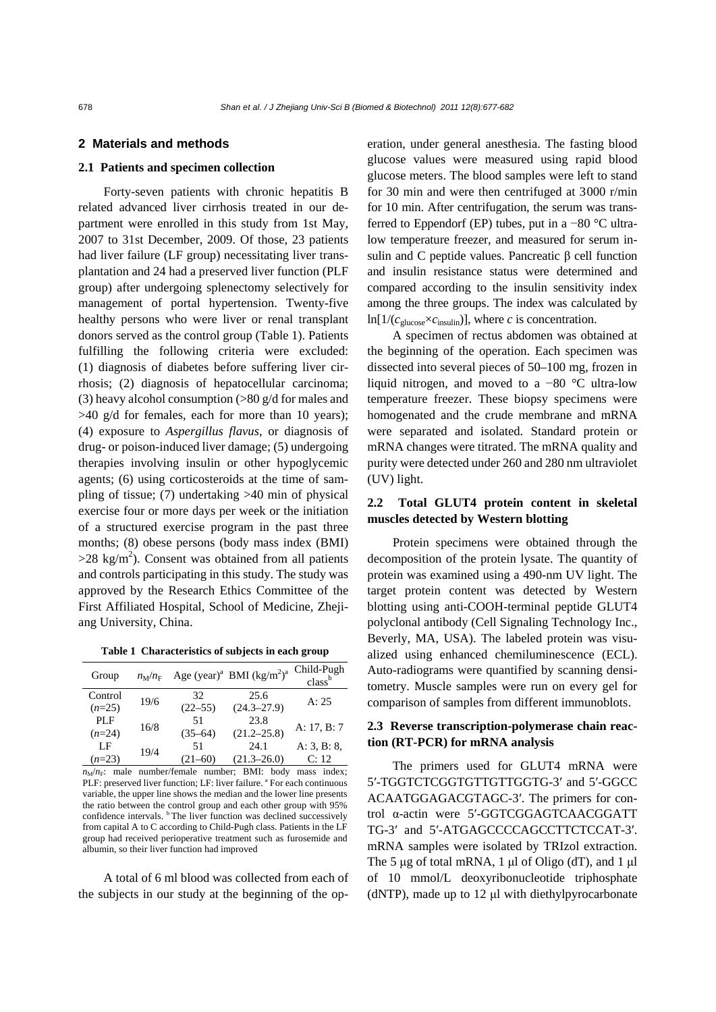# **2 Materials and methods**

### **2.1 Patients and specimen collection**

Forty-seven patients with chronic hepatitis B related advanced liver cirrhosis treated in our department were enrolled in this study from 1st May, 2007 to 31st December, 2009. Of those, 23 patients had liver failure (LF group) necessitating liver transplantation and 24 had a preserved liver function (PLF group) after undergoing splenectomy selectively for management of portal hypertension. Twenty-five healthy persons who were liver or renal transplant donors served as the control group (Table 1). Patients fulfilling the following criteria were excluded: (1) diagnosis of diabetes before suffering liver cirrhosis; (2) diagnosis of hepatocellular carcinoma; (3) heavy alcohol consumption (>80 g/d for males and  $>40$  g/d for females, each for more than 10 years); (4) exposure to *Aspergillus flavus*, or diagnosis of drug- or poison-induced liver damage; (5) undergoing therapies involving insulin or other hypoglycemic agents; (6) using corticosteroids at the time of sampling of tissue; (7) undertaking >40 min of physical exercise four or more days per week or the initiation of a structured exercise program in the past three months; (8) obese persons (body mass index (BMI)  $>$ 28 kg/m<sup>2</sup>). Consent was obtained from all patients and controls participating in this study. The study was approved by the Research Ethics Committee of the First Affiliated Hospital, School of Medicine, Zhejiang University, China.

**Table 1 Characteristics of subjects in each group**

| Group      | $n_M/n_F$ |             | Age (year) <sup>a</sup> BMI (kg/m <sup>2</sup> ) <sup>a</sup> | Child-Pugh<br>class <sup>b</sup> |
|------------|-----------|-------------|---------------------------------------------------------------|----------------------------------|
| Control    | 19/6      | 32          | 25.6                                                          | A: 25                            |
| $(n=25)$   |           | $(22 - 55)$ | $(24.3 - 27.9)$                                               |                                  |
| <b>PLF</b> | 16/8      | 51          | 23.8                                                          | A: $17, B: 7$                    |
| $(n=24)$   |           | $(35-64)$   | $(21.2 - 25.8)$                                               |                                  |
| LF         | 19/4      | 51          | 24.1                                                          | A: 3, B: 8,                      |
| $(n=23)$   |           | (21–60)     | $(21.3 - 26.0)$                                               | C: 12                            |

 $n<sub>M</sub>/n<sub>F</sub>$ : male number/female number; BMI: body mass index; PLF: preserved liver function; LF: liver failure. <sup>a</sup> For each continuous variable, the upper line shows the median and the lower line presents the ratio between the control group and each other group with 95% confidence intervals. <sup>b</sup> The liver function was declined successively from capital A to C according to Child-Pugh class. Patients in the LF group had received perioperative treatment such as furosemide and albumin, so their liver function had improved

A total of 6 ml blood was collected from each of the subjects in our study at the beginning of the operation, under general anesthesia. The fasting blood glucose values were measured using rapid blood glucose meters. The blood samples were left to stand for 30 min and were then centrifuged at 3000 r/min for 10 min. After centrifugation, the serum was transferred to Eppendorf (EP) tubes, put in a −80 °C ultralow temperature freezer, and measured for serum insulin and C peptide values. Pancreatic β cell function and insulin resistance status were determined and compared according to the insulin sensitivity index among the three groups. The index was calculated by  $ln[1/(c_{\text{glucose}} \times c_{\text{insulin}})]$ , where *c* is concentration.

A specimen of rectus abdomen was obtained at the beginning of the operation. Each specimen was dissected into several pieces of 50–100 mg, frozen in liquid nitrogen, and moved to a −80 °C ultra-low temperature freezer. These biopsy specimens were homogenated and the crude membrane and mRNA were separated and isolated. Standard protein or mRNA changes were titrated. The mRNA quality and purity were detected under 260 and 280 nm ultraviolet (UV) light.

# **2.2 Total GLUT4 protein content in skeletal muscles detected by Western blotting**

Protein specimens were obtained through the decomposition of the protein lysate. The quantity of protein was examined using a 490-nm UV light. The target protein content was detected by Western blotting using anti-COOH-terminal peptide GLUT4 polyclonal antibody (Cell Signaling Technology Inc., Beverly, MA, USA). The labeled protein was visualized using enhanced chemiluminescence (ECL). Auto-radiograms were quantified by scanning densitometry. Muscle samples were run on every gel for comparison of samples from different immunoblots.

# **2.3 Reverse transcription-polymerase chain reaction (RT-PCR) for mRNA analysis**

The primers used for GLUT4 mRNA were 5′-TGGTCTCGGTGTTGTTGGTG-3′ and 5′-GGCC ACAATGGAGACGTAGC-3′. The primers for control α-actin were 5′-GGTCGGAGTCAACGGATT TG-3′ and 5′-ATGAGCCCCAGCCTTCTCCAT-3′. mRNA samples were isolated by TRIzol extraction. The 5 μg of total mRNA, 1 μl of Oligo (dT), and 1 μl of 10 mmol/L deoxyribonucleotide triphosphate (dNTP), made up to 12 μl with diethylpyrocarbonate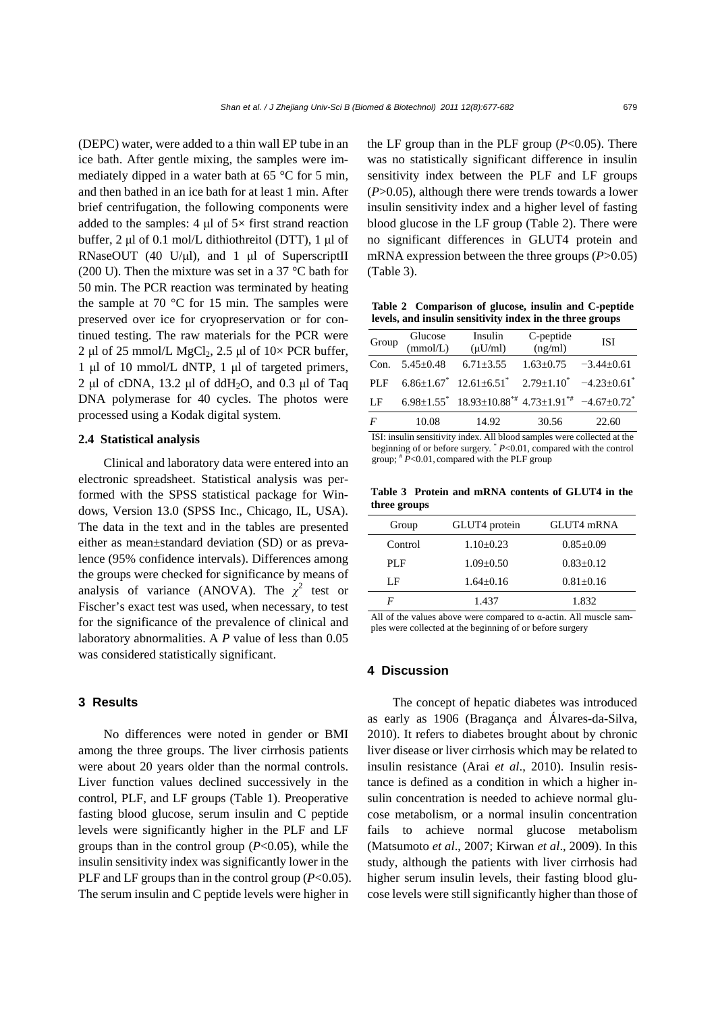(DEPC) water, were added to a thin wall EP tube in an ice bath. After gentle mixing, the samples were immediately dipped in a water bath at 65 °C for 5 min, and then bathed in an ice bath for at least 1 min. After brief centrifugation, the following components were added to the samples:  $4 \mu$ l of  $5 \times$  first strand reaction buffer, 2 μl of 0.1 mol/L dithiothreitol (DTT), 1 μl of RNaseOUT (40 U/μl), and 1 μl of SuperscriptII (200 U). Then the mixture was set in a 37 °C bath for 50 min. The PCR reaction was terminated by heating the sample at 70  $\degree$ C for 15 min. The samples were preserved over ice for cryopreservation or for continued testing. The raw materials for the PCR were 2 μl of 25 mmol/L MgCl<sub>2</sub>, 2.5 μl of  $10\times$  PCR buffer, 1 μl of 10 mmol/L dNTP, 1 μl of targeted primers, 2 μl of cDNA, 13.2 μl of ddH<sub>2</sub>O, and 0.3 μl of Taq DNA polymerase for 40 cycles. The photos were processed using a Kodak digital system.

# **2.4 Statistical analysis**

Clinical and laboratory data were entered into an electronic spreadsheet. Statistical analysis was performed with the SPSS statistical package for Windows, Version 13.0 (SPSS Inc., Chicago, IL, USA). The data in the text and in the tables are presented either as mean±standard deviation (SD) or as prevalence (95% confidence intervals). Differences among the groups were checked for significance by means of analysis of variance (ANOVA). The  $\chi^2$  test or Fischer's exact test was used, when necessary, to test for the significance of the prevalence of clinical and laboratory abnormalities. A *P* value of less than 0.05 was considered statistically significant.

# **3 Results**

No differences were noted in gender or BMI among the three groups. The liver cirrhosis patients were about 20 years older than the normal controls. Liver function values declined successively in the control, PLF, and LF groups (Table 1). Preoperative fasting blood glucose, serum insulin and C peptide levels were significantly higher in the PLF and LF groups than in the control group (*P*<0.05), while the insulin sensitivity index was significantly lower in the PLF and LF groups than in the control group ( $P<0.05$ ). The serum insulin and C peptide levels were higher in the LF group than in the PLF group  $(P<0.05)$ . There was no statistically significant difference in insulin sensitivity index between the PLF and LF groups (*P*>0.05), although there were trends towards a lower insulin sensitivity index and a higher level of fasting blood glucose in the LF group (Table 2). There were no significant differences in GLUT4 protein and mRNA expression between the three groups (*P*>0.05) (Table 3).

**Table 2 Comparison of glucose, insulin and C-peptide levels, and insulin sensitivity index in the three groups** 

| Group          | Glucose<br>(mmol/L)  | Insulin<br>$(\mu U/ml)$                                                 | C-peptide<br>(ng/ml)             | <b>ISI</b> |
|----------------|----------------------|-------------------------------------------------------------------------|----------------------------------|------------|
|                | Con. $5.45 \pm 0.48$ | $6.71 \pm 3.55$                                                         | $1.63 \pm 0.75$ $-3.44 \pm 0.61$ |            |
| PLF            |                      | $6.86\pm1.67$ $12.61\pm6.51$ $2.79\pm1.10$ $-4.23\pm0.61$               |                                  |            |
| LF             |                      | $6.98\pm1.55$ $18.93\pm10.88$ $4.73\pm1.91$ $4.67\pm0.72$ $4.67\pm0.72$ |                                  |            |
| $\overline{F}$ | 10.08                | 14.92                                                                   | 30.56                            | 22.60      |

ISI: insulin sensitivity index. All blood samples were collected at the beginning of or before surgery. \* *P*<0.01, compared with the control group;  $* \overline{P}$ <0.01, compared with the PLF group

**Table 3 Protein and mRNA contents of GLUT4 in the three groups** 

| Group   | GLUT4 protein | GLUT4 mRNA      |
|---------|---------------|-----------------|
| Control | $1.10+0.23$   | $0.85 \pm 0.09$ |
|         |               |                 |
| PLF     | $1.09 + 0.50$ | $0.83 + 0.12$   |
| LF      | $1.64 + 0.16$ | $0.81 + 0.16$   |
| F       | 1.437         | 1.832           |

All of the values above were compared to  $\alpha$ -actin. All muscle samples were collected at the beginning of or before surgery

#### **4 Discussion**

The concept of hepatic diabetes was introduced as early as 1906 (Bragança and Álvares-da-Silva, 2010). It refers to diabetes brought about by chronic liver disease or liver cirrhosis which may be related to insulin resistance (Arai *et al*., 2010). Insulin resistance is defined as a condition in which a higher insulin concentration is needed to achieve normal glucose metabolism, or a normal insulin concentration fails to achieve normal glucose metabolism (Matsumoto *et al*., 2007; Kirwan *et al*., 2009). In this study, although the patients with liver cirrhosis had higher serum insulin levels, their fasting blood glucose levels were still significantly higher than those of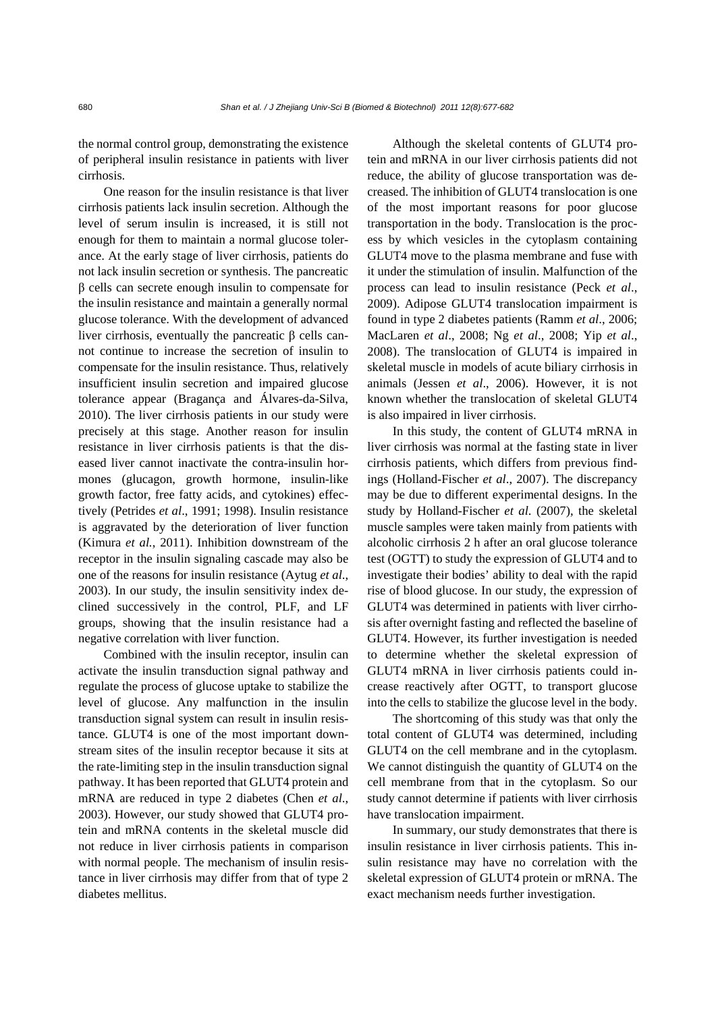the normal control group, demonstrating the existence of peripheral insulin resistance in patients with liver cirrhosis.

One reason for the insulin resistance is that liver cirrhosis patients lack insulin secretion. Although the level of serum insulin is increased, it is still not enough for them to maintain a normal glucose tolerance. At the early stage of liver cirrhosis, patients do not lack insulin secretion or synthesis. The pancreatic β cells can secrete enough insulin to compensate for the insulin resistance and maintain a generally normal glucose tolerance. With the development of advanced liver cirrhosis, eventually the pancreatic β cells cannot continue to increase the secretion of insulin to compensate for the insulin resistance. Thus, relatively insufficient insulin secretion and impaired glucose tolerance appear (Bragança and Álvares-da-Silva, 2010). The liver cirrhosis patients in our study were precisely at this stage. Another reason for insulin resistance in liver cirrhosis patients is that the diseased liver cannot inactivate the contra-insulin hormones (glucagon, growth hormone, insulin-like growth factor, free fatty acids, and cytokines) effectively (Petrides *et al*., 1991; 1998). Insulin resistance is aggravated by the deterioration of liver function (Kimura *et al.*, 2011). Inhibition downstream of the receptor in the insulin signaling cascade may also be one of the reasons for insulin resistance (Aytug *et al*., 2003). In our study, the insulin sensitivity index declined successively in the control, PLF, and LF groups, showing that the insulin resistance had a negative correlation with liver function.

Combined with the insulin receptor, insulin can activate the insulin transduction signal pathway and regulate the process of glucose uptake to stabilize the level of glucose. Any malfunction in the insulin transduction signal system can result in insulin resistance. GLUT4 is one of the most important downstream sites of the insulin receptor because it sits at the rate-limiting step in the insulin transduction signal pathway. It has been reported that GLUT4 protein and mRNA are reduced in type 2 diabetes (Chen *et al*., 2003). However, our study showed that GLUT4 protein and mRNA contents in the skeletal muscle did not reduce in liver cirrhosis patients in comparison with normal people. The mechanism of insulin resistance in liver cirrhosis may differ from that of type 2 diabetes mellitus.

Although the skeletal contents of GLUT4 protein and mRNA in our liver cirrhosis patients did not reduce, the ability of glucose transportation was decreased. The inhibition of GLUT4 translocation is one of the most important reasons for poor glucose transportation in the body. Translocation is the process by which vesicles in the cytoplasm containing GLUT4 move to the plasma membrane and fuse with it under the stimulation of insulin. Malfunction of the process can lead to insulin resistance (Peck *et al*., 2009). Adipose GLUT4 translocation impairment is found in type 2 diabetes patients (Ramm *et al*., 2006; MacLaren *et al*., 2008; Ng *et al*., 2008; Yip *et al*., 2008). The translocation of GLUT4 is impaired in skeletal muscle in models of acute biliary cirrhosis in animals (Jessen *et al*., 2006). However, it is not known whether the translocation of skeletal GLUT4 is also impaired in liver cirrhosis.

In this study, the content of GLUT4 mRNA in liver cirrhosis was normal at the fasting state in liver cirrhosis patients, which differs from previous findings (Holland-Fischer *et al*., 2007). The discrepancy may be due to different experimental designs. In the study by Holland-Fischer *et al*. (2007), the skeletal muscle samples were taken mainly from patients with alcoholic cirrhosis 2 h after an oral glucose tolerance test (OGTT) to study the expression of GLUT4 and to investigate their bodies' ability to deal with the rapid rise of blood glucose. In our study, the expression of GLUT4 was determined in patients with liver cirrhosis after overnight fasting and reflected the baseline of GLUT4. However, its further investigation is needed to determine whether the skeletal expression of GLUT4 mRNA in liver cirrhosis patients could increase reactively after OGTT, to transport glucose into the cells to stabilize the glucose level in the body.

The shortcoming of this study was that only the total content of GLUT4 was determined, including GLUT4 on the cell membrane and in the cytoplasm. We cannot distinguish the quantity of GLUT4 on the cell membrane from that in the cytoplasm. So our study cannot determine if patients with liver cirrhosis have translocation impairment.

In summary, our study demonstrates that there is insulin resistance in liver cirrhosis patients. This insulin resistance may have no correlation with the skeletal expression of GLUT4 protein or mRNA. The exact mechanism needs further investigation.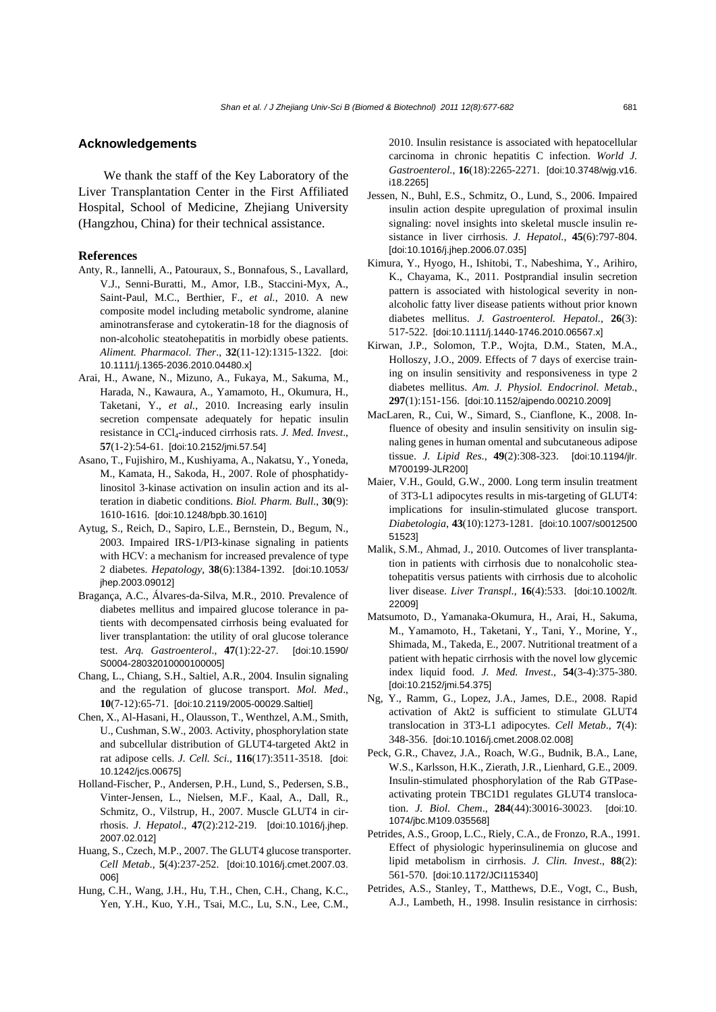#### **Acknowledgements**

We thank the staff of the Key Laboratory of the Liver Transplantation Center in the First Affiliated Hospital, School of Medicine, Zhejiang University (Hangzhou, China) for their technical assistance.

#### **References**

- Anty, R., Iannelli, A., Patouraux, S., Bonnafous, S., Lavallard, V.J., Senni-Buratti, M., Amor, I.B., Staccini-Myx, A., Saint-Paul, M.C., Berthier, F., *et al.*, 2010. A new composite model including metabolic syndrome, alanine aminotransferase and cytokeratin-18 for the diagnosis of non-alcoholic steatohepatitis in morbidly obese patients. *Aliment. Pharmacol. Ther*., **32**(11-12):1315-1322. [doi: 10.1111/j.1365-2036.2010.04480.x]
- Arai, H., Awane, N., Mizuno, A., Fukaya, M., Sakuma, M., Harada, N., Kawaura, A., Yamamoto, H., Okumura, H., Taketani, Y., *et al.*, 2010. Increasing early insulin secretion compensate adequately for hepatic insulin resistance in CCl4-induced cirrhosis rats. *J. Med. Invest*., **57**(1-2):54-61. [doi:10.2152/jmi.57.54]
- Asano, T., Fujishiro, M., Kushiyama, A., Nakatsu, Y., Yoneda, M., Kamata, H., Sakoda, H., 2007. Role of phosphatidylinositol 3-kinase activation on insulin action and its alteration in diabetic conditions. *Biol. Pharm. Bull*., **30**(9): 1610-1616. [doi:10.1248/bpb.30.1610]
- Aytug, S., Reich, D., Sapiro, L.E., Bernstein, D., Begum, N., 2003. Impaired IRS-1/PI3-kinase signaling in patients with HCV: a mechanism for increased prevalence of type 2 diabetes. *Hepatology*, **38**(6):1384-1392. [doi:10.1053/ jhep.2003.09012]
- Bragança, A.C., Álvares-da-Silva, M.R., 2010. Prevalence of diabetes mellitus and impaired glucose tolerance in patients with decompensated cirrhosis being evaluated for liver transplantation: the utility of oral glucose tolerance test. *Arq. Gastroenterol*., **47**(1):22-27. [doi:10.1590/ S0004-28032010000100005]
- Chang, L., Chiang, S.H., Saltiel, A.R., 2004. Insulin signaling and the regulation of glucose transport. *Mol. Med*., **10**(7-12):65-71. [doi:10.2119/2005-00029.Saltiel]
- Chen, X., Al-Hasani, H., Olausson, T., Wenthzel, A.M., Smith, U., Cushman, S.W., 2003. Activity, phosphorylation state and subcellular distribution of GLUT4-targeted Akt2 in rat adipose cells. *J. Cell. Sci.*, **116**(17):3511-3518. [doi: 10.1242/jcs.00675]
- Holland-Fischer, P., Andersen, P.H., Lund, S., Pedersen, S.B., Vinter-Jensen, L., Nielsen, M.F., Kaal, A., Dall, R., Schmitz, O., Vilstrup, H., 2007. Muscle GLUT4 in cirrhosis. *J. Hepatol*., **47**(2):212-219. [doi:10.1016/j.jhep. 2007.02.012]
- Huang, S., Czech, M.P., 2007. The GLUT4 glucose transporter. *Cell Metab.*, **5**(4):237-252. [doi:10.1016/j.cmet.2007.03. 006]
- Hung, C.H., Wang, J.H., Hu, T.H., Chen, C.H., Chang, K.C., Yen, Y.H., Kuo, Y.H., Tsai, M.C., Lu, S.N., Lee, C.M.,

2010. Insulin resistance is associated with hepatocellular carcinoma in chronic hepatitis C infection. *World J. Gastroenterol*., **16**(18):2265-2271. [doi:10.3748/wjg.v16. i18.2265]

- Jessen, N., Buhl, E.S., Schmitz, O., Lund, S., 2006. Impaired insulin action despite upregulation of proximal insulin signaling: novel insights into skeletal muscle insulin resistance in liver cirrhosis. *J. Hepatol.*, **45**(6):797-804. [doi:10.1016/j.jhep.2006.07.035]
- Kimura, Y., Hyogo, H., Ishitobi, T., Nabeshima, Y., Arihiro, K., Chayama, K., 2011. Postprandial insulin secretion pattern is associated with histological severity in nonalcoholic fatty liver disease patients without prior known diabetes mellitus. *J. Gastroenterol. Hepatol.*, **26**(3): 517-522. [doi:10.1111/j.1440-1746.2010.06567.x]
- Kirwan, J.P., Solomon, T.P., Wojta, D.M., Staten, M.A., Holloszy, J.O., 2009. Effects of 7 days of exercise training on insulin sensitivity and responsiveness in type 2 diabetes mellitus. *Am. J. Physiol. Endocrinol. Metab*., **297**(1):151-156. [doi:10.1152/ajpendo.00210.2009]
- MacLaren, R., Cui, W., Simard, S., Cianflone, K., 2008. Influence of obesity and insulin sensitivity on insulin signaling genes in human omental and subcutaneous adipose tissue. *J. Lipid Res*., **49**(2):308-323. [doi:10.1194/jlr. M700199-JLR200]
- Maier, V.H., Gould, G.W., 2000. Long term insulin treatment of 3T3-L1 adipocytes results in mis-targeting of GLUT4: implications for insulin-stimulated glucose transport. *Diabetologia*, **43**(10):1273-1281. [doi:10.1007/s0012500 51523]
- Malik, S.M., Ahmad, J., 2010. Outcomes of liver transplantation in patients with cirrhosis due to nonalcoholic steatohepatitis versus patients with cirrhosis due to alcoholic liver disease. *Liver Transpl*., **16**(4):533. [doi:10.1002/lt. 22009]
- Matsumoto, D., Yamanaka-Okumura, H., Arai, H., Sakuma, M., Yamamoto, H., Taketani, Y., Tani, Y., Morine, Y., Shimada, M., Takeda, E., 2007. Nutritional treatment of a patient with hepatic cirrhosis with the novel low glycemic index liquid food. *J. Med. Invest*., **54**(3-4):375-380. [doi:10.2152/jmi.54.375]
- Ng, Y., Ramm, G., Lopez, J.A., James, D.E., 2008. Rapid activation of Akt2 is sufficient to stimulate GLUT4 translocation in 3T3-L1 adipocytes. *Cell Metab*., **7**(4): 348-356. [doi:10.1016/j.cmet.2008.02.008]
- Peck, G.R., Chavez, J.A., Roach, W.G., Budnik, B.A., Lane, W.S., Karlsson, H.K., Zierath, J.R., Lienhard, G.E., 2009. Insulin-stimulated phosphorylation of the Rab GTPaseactivating protein TBC1D1 regulates GLUT4 translocation. *J. Biol. Chem*., **284**(44):30016-30023. [doi:10. 1074/jbc.M109.035568]
- Petrides, A.S., Groop, L.C., Riely, C.A., de Fronzo, R.A., 1991. Effect of physiologic hyperinsulinemia on glucose and lipid metabolism in cirrhosis. *J. Clin. Invest*., **88**(2): 561-570. [doi:10.1172/JCI115340]
- Petrides, A.S., Stanley, T., Matthews, D.E., Vogt, C., Bush, A.J., Lambeth, H., 1998. Insulin resistance in cirrhosis: